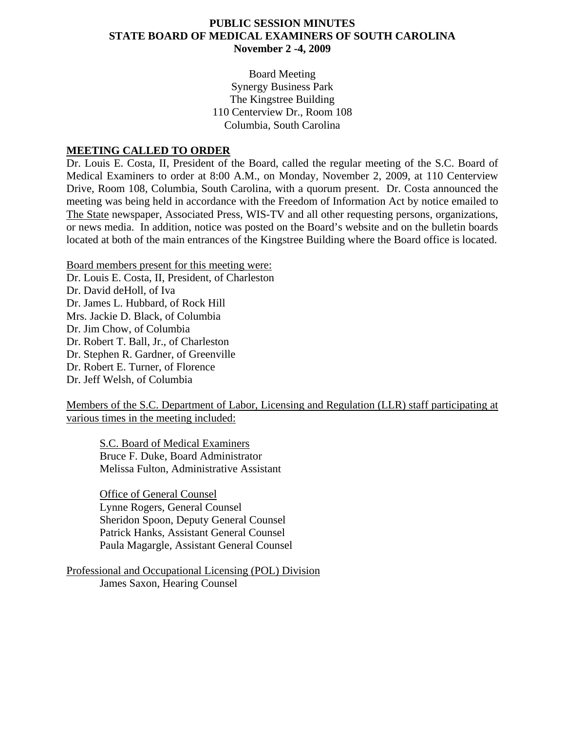## **PUBLIC SESSION MINUTES STATE BOARD OF MEDICAL EXAMINERS OF SOUTH CAROLINA November 2 -4, 2009**

Board Meeting Synergy Business Park The Kingstree Building 110 Centerview Dr., Room 108 Columbia, South Carolina

### **MEETING CALLED TO ORDER**

Dr. Louis E. Costa, II, President of the Board, called the regular meeting of the S.C. Board of Medical Examiners to order at 8:00 A.M., on Monday, November 2, 2009, at 110 Centerview Drive, Room 108, Columbia, South Carolina, with a quorum present. Dr. Costa announced the meeting was being held in accordance with the Freedom of Information Act by notice emailed to The State newspaper, Associated Press, WIS-TV and all other requesting persons, organizations, or news media. In addition, notice was posted on the Board's website and on the bulletin boards located at both of the main entrances of the Kingstree Building where the Board office is located.

Board members present for this meeting were: Dr. Louis E. Costa, II, President, of Charleston Dr. David deHoll, of Iva Dr. James L. Hubbard, of Rock Hill Mrs. Jackie D. Black, of Columbia Dr. Jim Chow, of Columbia Dr. Robert T. Ball, Jr., of Charleston Dr. Stephen R. Gardner, of Greenville Dr. Robert E. Turner, of Florence Dr. Jeff Welsh, of Columbia

Members of the S.C. Department of Labor, Licensing and Regulation (LLR) staff participating at various times in the meeting included:

S.C. Board of Medical Examiners Bruce F. Duke, Board Administrator Melissa Fulton, Administrative Assistant

 Office of General Counsel Lynne Rogers, General Counsel Sheridon Spoon, Deputy General Counsel Patrick Hanks, Assistant General Counsel Paula Magargle, Assistant General Counsel

Professional and Occupational Licensing (POL) Division James Saxon, Hearing Counsel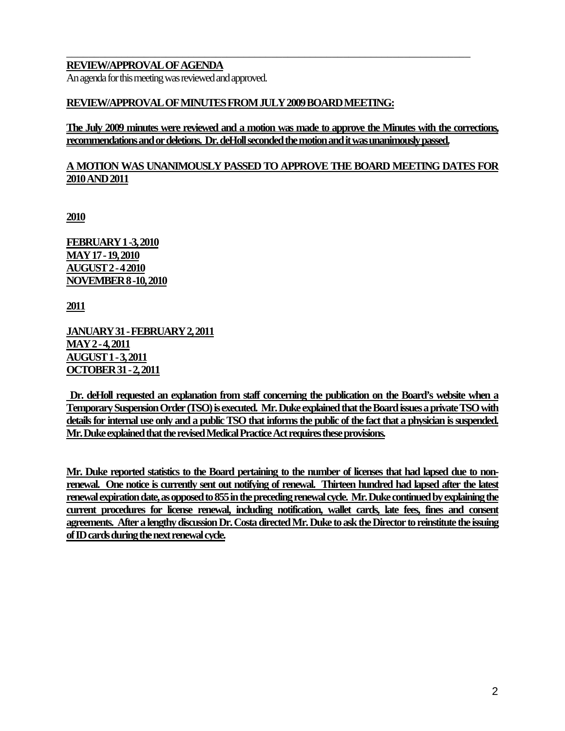## **REVIEW/APPROVAL OF AGENDA**

An agenda for this meeting was reviewed and approved.

### **REVIEW/APPROVAL OF MINUTES FROM JULY 2009 BOARD MEETING:**

**The July 2009 minutes were reviewed and a motion was made to approve the Minutes with the corrections, recommendations and or deletions. Dr. deHoll seconded the motion and it was unanimously passed.** 

\_\_\_\_\_\_\_\_\_\_\_\_\_\_\_\_\_\_\_\_\_\_\_\_\_\_\_\_\_\_\_\_\_\_\_\_\_\_\_\_\_\_\_\_\_\_\_\_\_\_\_\_\_\_\_\_\_\_\_\_\_\_\_\_\_\_\_\_\_\_\_\_\_

## **A MOTION WAS UNANIMOUSLY PASSED TO APPROVE THE BOARD MEETING DATES FOR 2010 AND 2011**

**2010**

**FEBRUARY 1 -3, 2010 MAY 17 - 19, 2010 AUGUST 2 - 4 2010 NOVEMBER 8 -10, 2010**

**2011**

**JANUARY 31 - FEBRUARY 2, 2011 MAY 2 - 4, 2011 AUGUST 1 - 3, 2011 OCTOBER 31 - 2, 2011**

 **Dr. deHoll requested an explanation from staff concerning the publication on the Board's website when a Temporary Suspension Order (TSO) is executed. Mr. Duke explained that the Board issues a private TSO with details for internal use only and a public TSO that informs the public of the fact that a physician is suspended. Mr. Duke explained that the revised Medical Practice Act requires these provisions.** 

**Mr. Duke reported statistics to the Board pertaining to the number of licenses that had lapsed due to nonrenewal. One notice is currently sent out notifying of renewal. Thirteen hundred had lapsed after the latest renewal expiration date, as opposed to 855 in the preceding renewal cycle. Mr. Duke continued by explaining the current procedures for license renewal, including notification, wallet cards, late fees, fines and consent agreements. After a lengthy discussion Dr. Costa directed Mr. Duke to ask the Director to reinstitute the issuing of ID cards during the next renewal cycle.**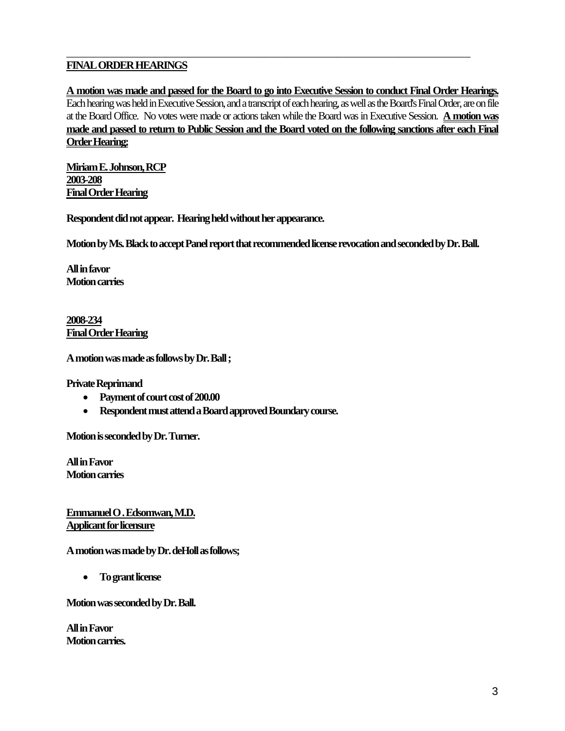# **FINAL ORDER HEARINGS**

**A motion was made and passed for the Board to go into Executive Session to conduct Final Order Hearings.** Each hearing was held in Executive Session, and a transcript of each hearing, as well as the Board's Final Order, are on file at the Board Office. No votes were made or actions taken while the Board was in Executive Session. **A motion was made and passed to return to Public Session and the Board voted on the following sanctions after each Final Order Hearing:**

\_\_\_\_\_\_\_\_\_\_\_\_\_\_\_\_\_\_\_\_\_\_\_\_\_\_\_\_\_\_\_\_\_\_\_\_\_\_\_\_\_\_\_\_\_\_\_\_\_\_\_\_\_\_\_\_\_\_\_\_\_\_\_\_\_\_\_\_\_\_\_\_\_

**Miriam E. Johnson, RCP 2003-208 Final Order Hearing**

**Respondent did not appear. Hearing held without her appearance.** 

**Motion by Ms. Black to accept Panel report that recommended license revocation and seconded by Dr. Ball.** 

**All in favor Motion carries** 

**2008-234 Final Order Hearing**

**A motion was made as follows by Dr. Ball ;** 

**Private Reprimand** 

- **Payment of court cost of 200.00**
- **Respondent must attend a Board approved Boundary course.**

**Motion is seconded by Dr. Turner.** 

**All in Favor Motion carries** 

**Emmanuel O . Edsomwan, M.D. Applicant for licensure**

**A motion was made by Dr. deHoll as follows;** 

• **To grant license** 

**Motion was seconded by Dr. Ball.** 

**All in Favor Motion carries.**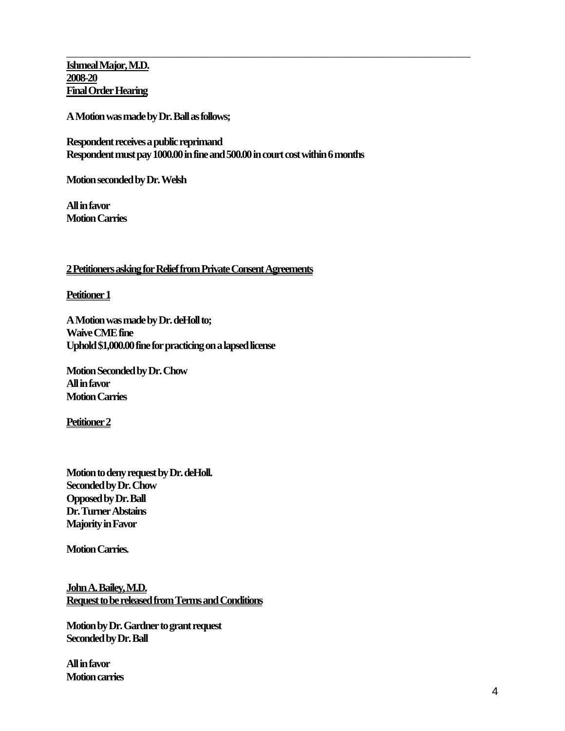**Ishmeal Major, M.D. 2008-20 Final Order Hearing**

**A Motion was made by Dr. Ball as follows;** 

**Respondent receives a public reprimand Respondent must pay 1000.00 in fine and 500.00 in court cost within 6 months** 

\_\_\_\_\_\_\_\_\_\_\_\_\_\_\_\_\_\_\_\_\_\_\_\_\_\_\_\_\_\_\_\_\_\_\_\_\_\_\_\_\_\_\_\_\_\_\_\_\_\_\_\_\_\_\_\_\_\_\_\_\_\_\_\_\_\_\_\_\_\_\_\_\_

**Motion seconded by Dr. Welsh** 

**All in favor Motion Carries** 

#### **2 Petitioners asking for Relief from Private Consent Agreements**

**Petitioner 1** 

**A Motion was made by Dr. deHoll to; Waive CME fine Uphold \$1,000.00 fine for practicing on a lapsed license** 

**Motion Seconded by Dr. Chow All in favor Motion Carries** 

**Petitioner 2**

**Motion to deny request by Dr. deHoll. Seconded by Dr. Chow Opposed by Dr. Ball Dr. Turner Abstains Majority in Favor** 

**Motion Carries.** 

**John A. Bailey, M.D. Request to be released from Terms and Conditions**

**Motion by Dr. Gardner to grant request Seconded by Dr. Ball** 

**All in favor Motion carries**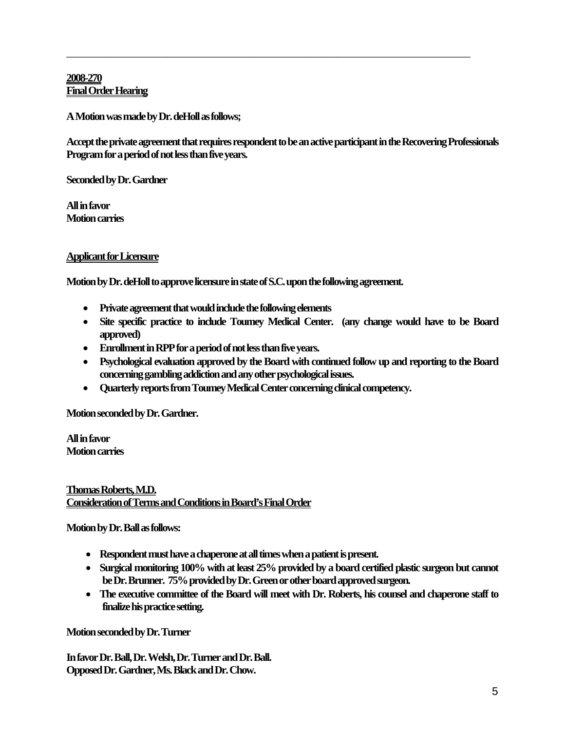## **2008-270 Final Order Hearing**

**A Motion was made by Dr. deHoll as follows;** 

**Accept the private agreement that requires respondent to be an active participant in the Recovering Professionals Program for a period of not less than five years.** 

\_\_\_\_\_\_\_\_\_\_\_\_\_\_\_\_\_\_\_\_\_\_\_\_\_\_\_\_\_\_\_\_\_\_\_\_\_\_\_\_\_\_\_\_\_\_\_\_\_\_\_\_\_\_\_\_\_\_\_\_\_\_\_\_\_\_\_\_\_\_\_\_\_

**Seconded by Dr. Gardner** 

**All in favor Motion carries** 

## **Applicant for Licensure**

**Motion by Dr. deHoll to approve licensure in state of S.C. upon the following agreement.** 

- **Private agreement that would include the following elements**
- **Site specific practice to include Toumey Medical Center. (any change would have to be Board approved)**
- **Enrollment in RPP for a period of not less than five years.**
- **Psychological evaluation approved by the Board with continued follow up and reporting to the Board concerning gambling addiction and any other psychological issues.**
- **Quarterly reports from Toumey Medical Center concerning clinical competency.**

**Motion seconded by Dr. Gardner.** 

**All in favor Motion carries** 

### **Thomas Roberts, M.D. Consideration of Terms and Conditions in Board's Final Order**

**Motion by Dr. Ball as follows:** 

- **Respondent must have a chaperone at all times when a patient is present.**
- **Surgical monitoring 100% with at least 25% provided by a board certified plastic surgeon but cannot be Dr. Brunner. 75% provided by Dr. Green or other board approved surgeon.**
- **The executive committee of the Board will meet with Dr. Roberts, his counsel and chaperone staff to finalize his practice setting.**

**Motion seconded by Dr. Turner** 

**In favor Dr. Ball, Dr. Welsh, Dr. Turner and Dr. Ball. Opposed Dr. Gardner, Ms. Black and Dr. Chow.**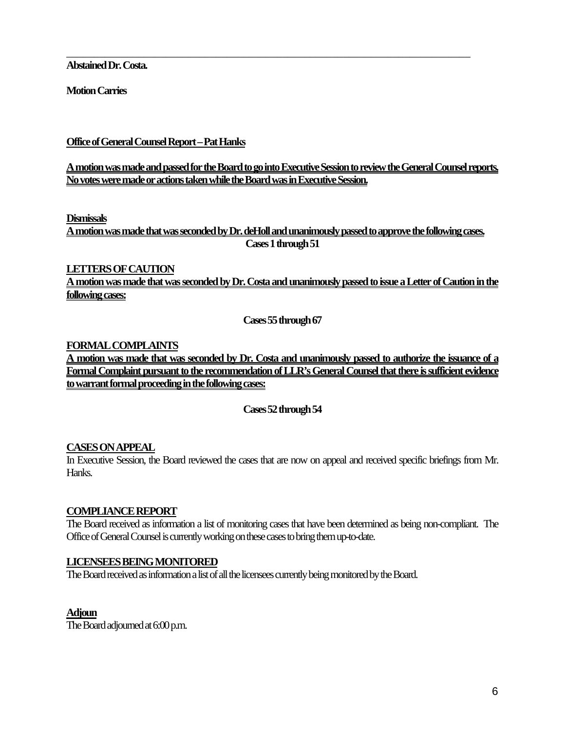**Abstained Dr. Costa.** 

**Motion Carries** 

**Office of General Counsel Report – Pat Hanks**

**A motion was made and passed for the Board to go into Executive Session to review the General Counsel reports. No votes were made or actions taken while the Board was in Executive Session.** 

\_\_\_\_\_\_\_\_\_\_\_\_\_\_\_\_\_\_\_\_\_\_\_\_\_\_\_\_\_\_\_\_\_\_\_\_\_\_\_\_\_\_\_\_\_\_\_\_\_\_\_\_\_\_\_\_\_\_\_\_\_\_\_\_\_\_\_\_\_\_\_\_\_

#### **Dismissals**

**A motion was made that was seconded by Dr. deHoll and unanimously passed to approve the following cases. Cases 1 through 51** 

## **LETTERS OF CAUTION**

**A motion was made that was seconded by Dr. Costa and unanimously passed to issue a Letter of Caution in the following cases:**

**Cases 55 through 67** 

#### **FORMAL COMPLAINTS**

**A motion was made that was seconded by Dr. Costa and unanimously passed to authorize the issuance of a Formal Complaint pursuant to the recommendation of LLR's General Counsel that there is sufficient evidence to warrant formal proceeding in the following cases:**

**Cases 52 through 54** 

## **CASES ON APPEAL**

In Executive Session, the Board reviewed the cases that are now on appeal and received specific briefings from Mr. Hanks.

## **COMPLIANCE REPORT**

The Board received as information a list of monitoring cases that have been determined as being non-compliant. The Office of General Counsel is currently working on these cases to bring them up-to-date.

## **LICENSEES BEING MONITORED**

The Board received as information a list of all the licensees currently being monitored by the Board.

## **Adjoun**

The Board adjourned at 6:00 p.m.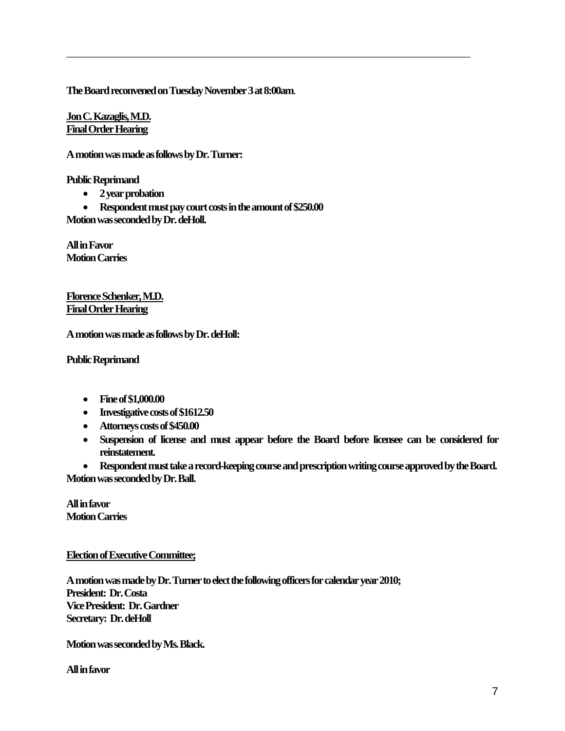**The Board reconvened on Tuesday November 3 at 8:00am**.

\_\_\_\_\_\_\_\_\_\_\_\_\_\_\_\_\_\_\_\_\_\_\_\_\_\_\_\_\_\_\_\_\_\_\_\_\_\_\_\_\_\_\_\_\_\_\_\_\_\_\_\_\_\_\_\_\_\_\_\_\_\_\_\_\_\_\_\_\_\_\_\_\_

**Jon C. Kazaglis, M.D. Final Order Hearing**

**A motion was made as follows by Dr. Turner:** 

**Public Reprimand** 

- **2 year probation**
- **Respondent must pay court costs in the amount of \$250.00**

**Motion was seconded by Dr. deHoll.** 

**All in Favor Motion Carries** 

**Florence Schenker, M.D. Final Order Hearing**

**A motion was made as follows by Dr. deHoll:** 

**Public Reprimand** 

- **Fine of \$1,000.00**
- **Investigative costs of \$1612.50**
- **Attorneys costs of \$450.00**
- **Suspension of license and must appear before the Board before licensee can be considered for reinstatement.**

• **Respondent must take a record-keeping course and prescription writing course approved by the Board. Motion was seconded by Dr. Ball.** 

**All in favor Motion Carries** 

**Election of Executive Committee;**

**A motion was made by Dr. Turner to elect the following officers for calendar year 2010; President: Dr. Costa Vice President: Dr. Gardner Secretary: Dr. deHoll** 

**Motion was seconded by Ms. Black.** 

**All in favor**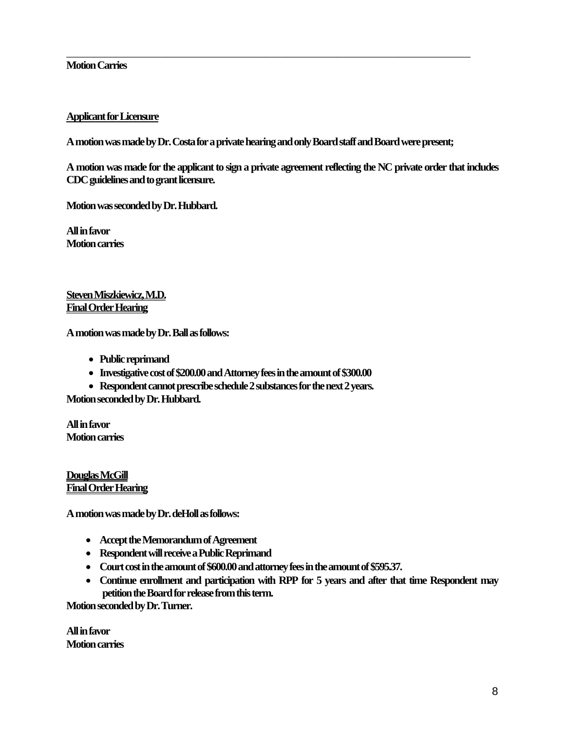### **Motion Carries**

### **Applicant for Licensure**

**A motion was made by Dr. Costa for a private hearing and only Board staff and Board were present;** 

\_\_\_\_\_\_\_\_\_\_\_\_\_\_\_\_\_\_\_\_\_\_\_\_\_\_\_\_\_\_\_\_\_\_\_\_\_\_\_\_\_\_\_\_\_\_\_\_\_\_\_\_\_\_\_\_\_\_\_\_\_\_\_\_\_\_\_\_\_\_\_\_\_

**A motion was made for the applicant to sign a private agreement reflecting the NC private order that includes CDC guidelines and to grant licensure.** 

**Motion was seconded by Dr. Hubbard.** 

**All in favor Motion carries** 

**Steven Miszkiewicz, M.D. Final Order Hearing**

**A motion was made by Dr. Ball as follows:** 

- **Public reprimand**
- **Investigative cost of \$200.00 and Attorney fees in the amount of \$300.00**
- **Respondent cannot prescribe schedule 2 substances for the next 2 years.**

**Motion seconded by Dr. Hubbard.** 

**All in favor Motion carries** 

**Douglas McGill Final Order Hearing**

**A motion was made by Dr. deHoll as follows:** 

- **Accept the Memorandum of Agreement**
- **Respondent will receive a Public Reprimand**
- **Court cost in the amount of \$600.00 and attorney fees in the amount of \$595.37.**
- **Continue enrollment and participation with RPP for 5 years and after that time Respondent may petition the Board for release from this term.**

**Motion seconded by Dr. Turner.** 

**All in favor Motion carries**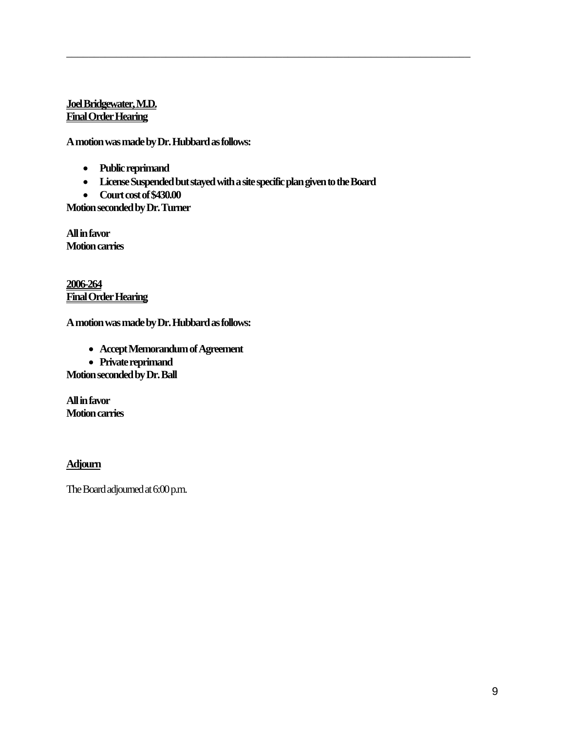## **Joel Bridgewater, M.D. Final Order Hearing**

**A motion was made by Dr. Hubbard as follows:** 

- **Public reprimand**
- **License Suspended but stayed with a site specific plan given to the Board**

\_\_\_\_\_\_\_\_\_\_\_\_\_\_\_\_\_\_\_\_\_\_\_\_\_\_\_\_\_\_\_\_\_\_\_\_\_\_\_\_\_\_\_\_\_\_\_\_\_\_\_\_\_\_\_\_\_\_\_\_\_\_\_\_\_\_\_\_\_\_\_\_\_

• **Court cost of \$430.00** 

**Motion seconded by Dr. Turner** 

**All in favor Motion carries** 

**2006-264 Final Order Hearing**

**A motion was made by Dr. Hubbard as follows:** 

- **Accept Memorandum of Agreement**
- **Private reprimand**

**Motion seconded by Dr. Ball** 

**All in favor Motion carries** 

# **Adjourn**

The Board adjourned at 6:00 p.m.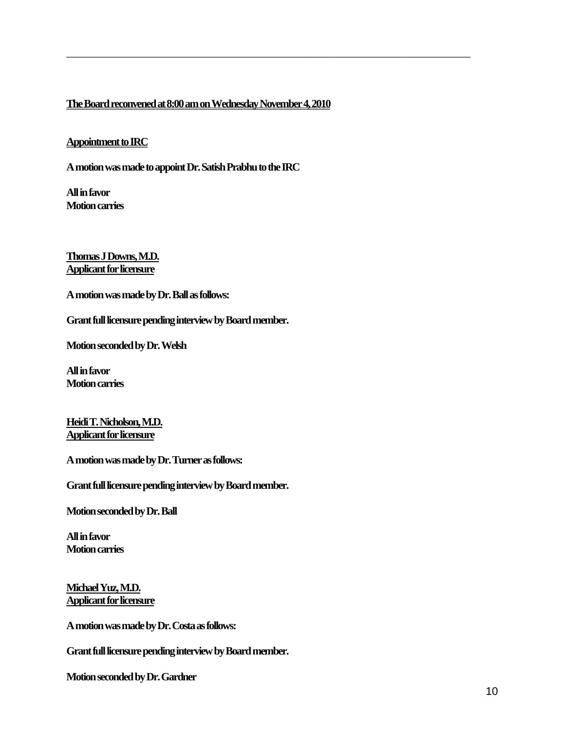## **The Board reconvened at 8:00 am on Wednesday November 4, 2010**

\_\_\_\_\_\_\_\_\_\_\_\_\_\_\_\_\_\_\_\_\_\_\_\_\_\_\_\_\_\_\_\_\_\_\_\_\_\_\_\_\_\_\_\_\_\_\_\_\_\_\_\_\_\_\_\_\_\_\_\_\_\_\_\_\_\_\_\_\_\_\_\_\_

#### **Appointment to IRC**

**A motion was made to appoint Dr. Satish Prabhu to the IRC** 

**All in favor Motion carries** 

**Thomas J Downs, M.D. Applicant for licensure**

**A motion was made by Dr. Ball as follows:** 

**Grant full licensure pending interview by Board member.** 

**Motion seconded by Dr. Welsh** 

**All in favor Motion carries** 

**Heidi T. Nicholson, M.D. Applicant for licensure**

**A motion was made by Dr. Turner as follows:** 

**Grant full licensure pending interview by Board member.** 

**Motion seconded by Dr. Ball** 

**All in favor Motion carries** 

**Michael Yuz, M.D. Applicant for licensure**

**A motion was made by Dr. Costa as follows:** 

**Grant full licensure pending interview by Board member.** 

**Motion seconded by Dr. Gardner**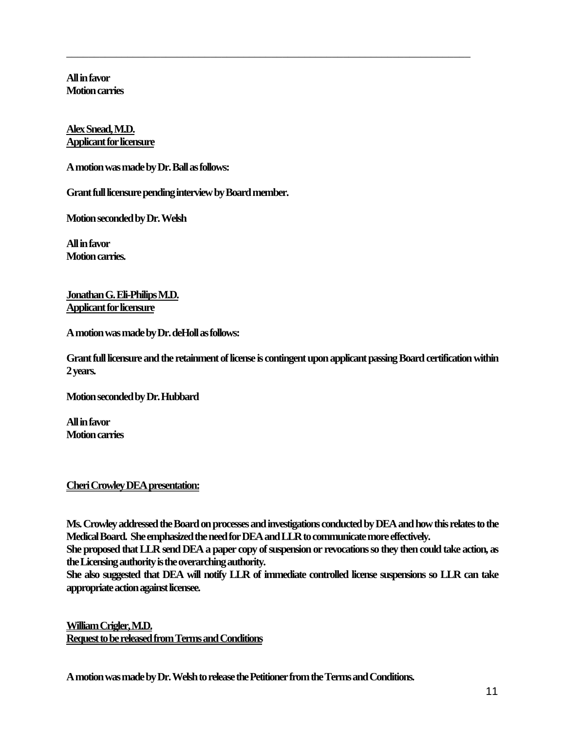**All in favor Motion carries** 

### **Alex Snead, M.D. Applicant for licensure**

**A motion was made by Dr. Ball as follows:** 

**Grant full licensure pending interview by Board member.** 

**Motion seconded by Dr. Welsh** 

**All in favor Motion carries.** 

**Jonathan G. Eli-Philips M.D. Applicant for licensure**

**A motion was made by Dr. deHoll as follows:** 

**Grant full licensure and the retainment of license is contingent upon applicant passing Board certification within 2 years.** 

\_\_\_\_\_\_\_\_\_\_\_\_\_\_\_\_\_\_\_\_\_\_\_\_\_\_\_\_\_\_\_\_\_\_\_\_\_\_\_\_\_\_\_\_\_\_\_\_\_\_\_\_\_\_\_\_\_\_\_\_\_\_\_\_\_\_\_\_\_\_\_\_\_

**Motion seconded by Dr. Hubbard** 

**All in favor Motion carries** 

#### **Cheri Crowley DEA presentation:**

**Ms. Crowley addressed the Board on processes and investigations conducted by DEA and how this relates to the Medical Board. She emphasized the need for DEA and LLR to communicate more effectively.** 

**She proposed that LLR send DEA a paper copy of suspension or revocations so they then could take action, as the Licensing authority is the overarching authority.** 

**She also suggested that DEA will notify LLR of immediate controlled license suspensions so LLR can take appropriate action against licensee.** 

**William Crigler, M.D. Request to be released from Terms and Conditions**

**A motion was made by Dr. Welsh to release the Petitioner from the Terms and Conditions.**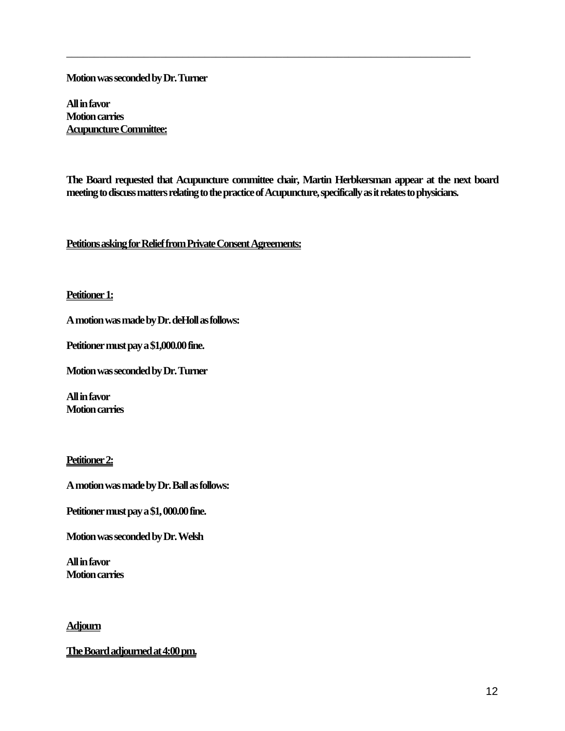**Motion was seconded by Dr. Turner** 

**All in favor Motion carries Acupuncture Committee:**

**The Board requested that Acupuncture committee chair, Martin Herbkersman appear at the next board meeting to discuss matters relating to the practice of Acupuncture, specifically as it relates to physicians.** 

\_\_\_\_\_\_\_\_\_\_\_\_\_\_\_\_\_\_\_\_\_\_\_\_\_\_\_\_\_\_\_\_\_\_\_\_\_\_\_\_\_\_\_\_\_\_\_\_\_\_\_\_\_\_\_\_\_\_\_\_\_\_\_\_\_\_\_\_\_\_\_\_\_

**Petitions asking for Relief from Private Consent Agreements:**

#### **Petitioner 1:**

**A motion was made by Dr. deHoll as follows:** 

**Petitioner must pay a \$1,000.00 fine.** 

**Motion was seconded by Dr. Turner** 

**All in favor Motion carries** 

## **Petitioner 2:**

**A motion was made by Dr. Ball as follows:** 

**Petitioner must pay a \$1, 000.00 fine.** 

**Motion was seconded by Dr. Welsh** 

**All in favor Motion carries** 

#### **Adjourn**

**The Board adjourned at 4:00 pm.**